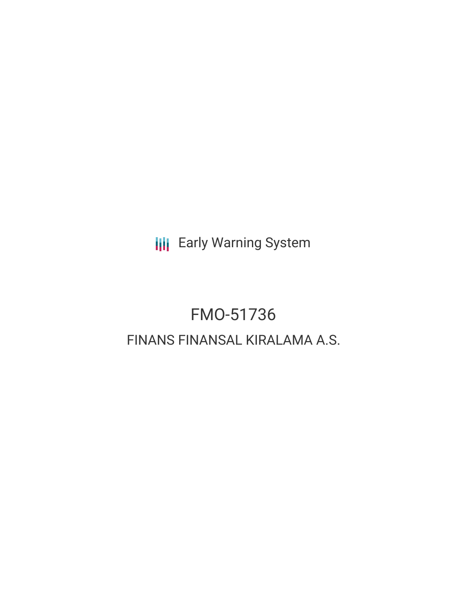**III** Early Warning System

# FMO-51736 FINANS FINANSAL KIRALAMA A.S.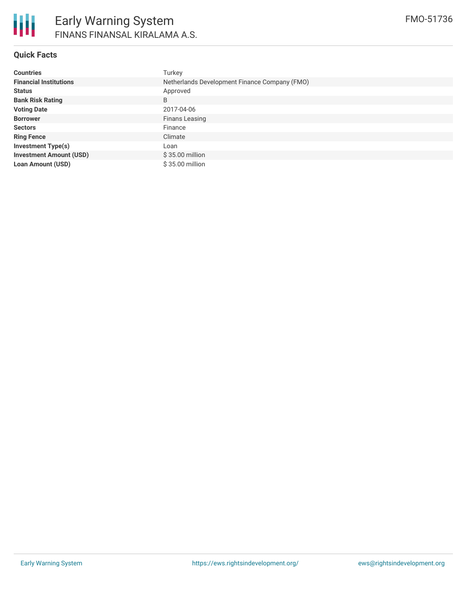

### **Quick Facts**

| <b>Countries</b>               | Turkey                                        |
|--------------------------------|-----------------------------------------------|
| <b>Financial Institutions</b>  | Netherlands Development Finance Company (FMO) |
| <b>Status</b>                  | Approved                                      |
| <b>Bank Risk Rating</b>        | B                                             |
| <b>Voting Date</b>             | 2017-04-06                                    |
| <b>Borrower</b>                | <b>Finans Leasing</b>                         |
| <b>Sectors</b>                 | Finance                                       |
| <b>Ring Fence</b>              | Climate                                       |
| <b>Investment Type(s)</b>      | Loan                                          |
| <b>Investment Amount (USD)</b> | $$35.00$ million                              |
| <b>Loan Amount (USD)</b>       | \$35.00 million                               |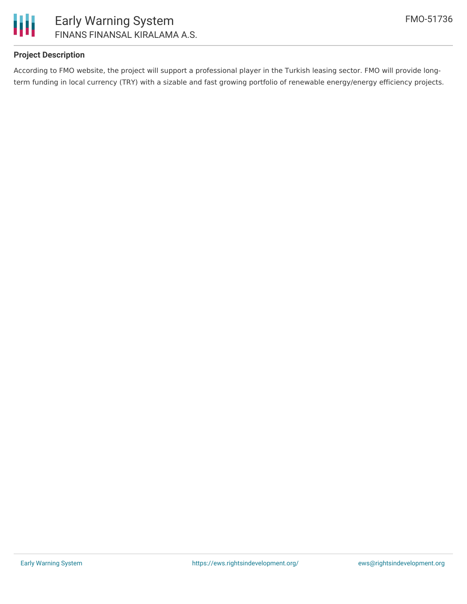

### **Project Description**

According to FMO website, the project will support a professional player in the Turkish leasing sector. FMO will provide longterm funding in local currency (TRY) with a sizable and fast growing portfolio of renewable energy/energy efficiency projects.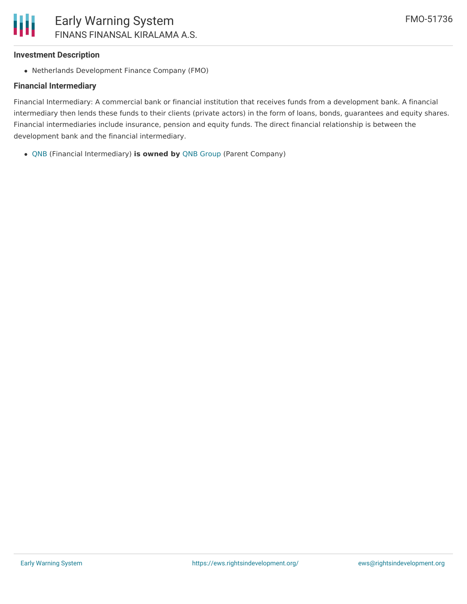### **Investment Description**

• Netherlands Development Finance Company (FMO)

### **Financial Intermediary**

Financial Intermediary: A commercial bank or financial institution that receives funds from a development bank. A financial intermediary then lends these funds to their clients (private actors) in the form of loans, bonds, guarantees and equity shares. Financial intermediaries include insurance, pension and equity funds. The direct financial relationship is between the development bank and the financial intermediary.

[QNB](file:///actor/3482/) (Financial Intermediary) **is owned by** QNB [Group](file:///actor/3536/) (Parent Company)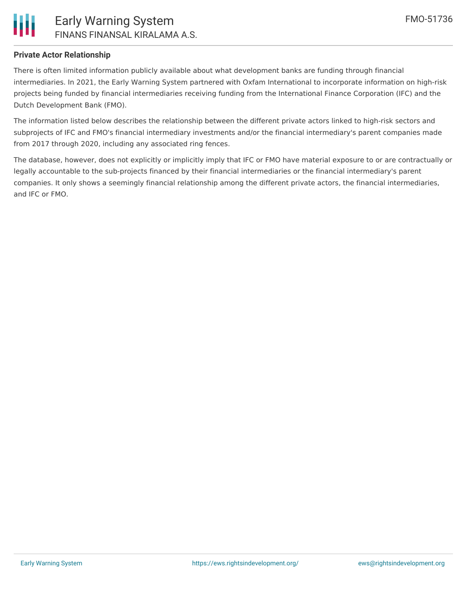

### **Private Actor Relationship**

There is often limited information publicly available about what development banks are funding through financial intermediaries. In 2021, the Early Warning System partnered with Oxfam International to incorporate information on high-risk projects being funded by financial intermediaries receiving funding from the International Finance Corporation (IFC) and the Dutch Development Bank (FMO).

The information listed below describes the relationship between the different private actors linked to high-risk sectors and subprojects of IFC and FMO's financial intermediary investments and/or the financial intermediary's parent companies made from 2017 through 2020, including any associated ring fences.

The database, however, does not explicitly or implicitly imply that IFC or FMO have material exposure to or are contractually or legally accountable to the sub-projects financed by their financial intermediaries or the financial intermediary's parent companies. It only shows a seemingly financial relationship among the different private actors, the financial intermediaries, and IFC or FMO.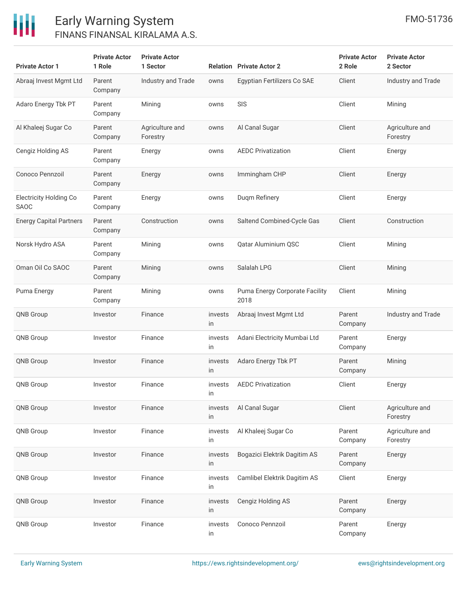

### Early Warning System FINANS FINANSAL KIRALAMA A.S.

| <b>Private Actor 1</b>                       | <b>Private Actor</b><br>1 Role | <b>Private Actor</b><br>1 Sector |               | <b>Relation Private Actor 2</b>        | <b>Private Actor</b><br>2 Role | <b>Private Actor</b><br>2 Sector |
|----------------------------------------------|--------------------------------|----------------------------------|---------------|----------------------------------------|--------------------------------|----------------------------------|
| Abraaj Invest Mgmt Ltd                       | Parent<br>Company              | Industry and Trade               | owns          | Egyptian Fertilizers Co SAE            | Client                         | Industry and Trade               |
| Adaro Energy Tbk PT                          | Parent<br>Company              | Mining                           | owns          | SIS                                    | Client                         | Mining                           |
| Al Khaleej Sugar Co                          | Parent<br>Company              | Agriculture and<br>Forestry      | owns          | Al Canal Sugar                         | Client                         | Agriculture and<br>Forestry      |
| Cengiz Holding AS                            | Parent<br>Company              | Energy                           | owns          | <b>AEDC Privatization</b>              | Client                         | Energy                           |
| Conoco Pennzoil                              | Parent<br>Company              | Energy                           | owns          | Immingham CHP                          | Client                         | Energy                           |
| <b>Electricity Holding Co</b><br><b>SAOC</b> | Parent<br>Company              | Energy                           | owns          | Duqm Refinery                          | Client                         | Energy                           |
| <b>Energy Capital Partners</b>               | Parent<br>Company              | Construction                     | owns          | Saltend Combined-Cycle Gas             | Client                         | Construction                     |
| Norsk Hydro ASA                              | Parent<br>Company              | Mining                           | owns          | Qatar Aluminium QSC                    | Client                         | Mining                           |
| Oman Oil Co SAOC                             | Parent<br>Company              | Mining                           | owns          | Salalah LPG                            | Client                         | Mining                           |
| Puma Energy                                  | Parent<br>Company              | Mining                           | owns          | Puma Energy Corporate Facility<br>2018 | Client                         | Mining                           |
| <b>QNB Group</b>                             | Investor                       | Finance                          | invests<br>in | Abraaj Invest Mgmt Ltd                 | Parent<br>Company              | Industry and Trade               |
| <b>QNB Group</b>                             | Investor                       | Finance                          | invests<br>in | Adani Electricity Mumbai Ltd           | Parent<br>Company              | Energy                           |
| <b>QNB Group</b>                             | Investor                       | Finance                          | invests<br>in | Adaro Energy Tbk PT                    | Parent<br>Company              | Mining                           |
| <b>QNB Group</b>                             | Investor                       | Finance                          | invests<br>in | <b>AEDC Privatization</b>              | Client                         | Energy                           |
| QNB Group                                    | Investor                       | Finance                          | invests<br>in | Al Canal Sugar                         | Client                         | Agriculture and<br>Forestry      |
| QNB Group                                    | Investor                       | Finance                          | invests<br>in | Al Khaleej Sugar Co                    | Parent<br>Company              | Agriculture and<br>Forestry      |
| <b>QNB Group</b>                             | Investor                       | Finance                          | invests<br>in | Bogazici Elektrik Dagitim AS           | Parent<br>Company              | Energy                           |
| QNB Group                                    | Investor                       | Finance                          | invests<br>in | Camlibel Elektrik Dagitim AS           | Client                         | Energy                           |
| <b>QNB Group</b>                             | Investor                       | Finance                          | invests<br>in | Cengiz Holding AS                      | Parent<br>Company              | Energy                           |
| QNB Group                                    | Investor                       | Finance                          | invests<br>in | Conoco Pennzoil                        | Parent<br>Company              | Energy                           |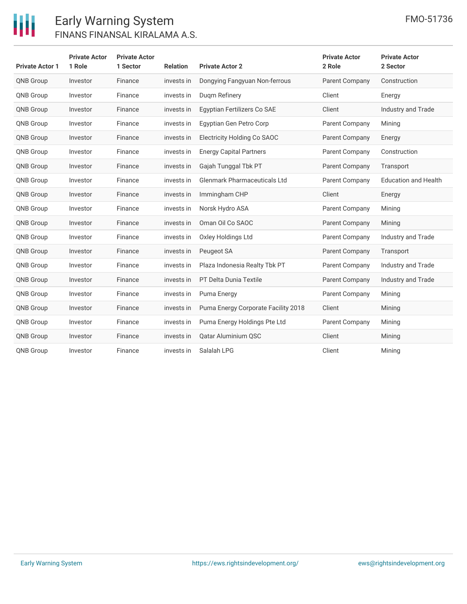

## Early Warning System FINANS FINANSAL KIRALAMA A.S.

| <b>Private Actor 1</b> | <b>Private Actor</b><br>1 Role | <b>Private Actor</b><br>1 Sector | <b>Relation</b> | <b>Private Actor 2</b>              | <b>Private Actor</b><br>2 Role | <b>Private Actor</b><br>2 Sector |
|------------------------|--------------------------------|----------------------------------|-----------------|-------------------------------------|--------------------------------|----------------------------------|
| QNB Group              | Investor                       | Finance                          | invests in      | Dongying Fangyuan Non-ferrous       | Parent Company                 | Construction                     |
| <b>QNB Group</b>       | Investor                       | Finance                          | invests in      | Dugm Refinery                       | Client                         | Energy                           |
| <b>QNB Group</b>       | Investor                       | Finance                          | invests in      | Egyptian Fertilizers Co SAE         | Client                         | Industry and Trade               |
| <b>QNB Group</b>       | Investor                       | Finance                          | invests in      | Egyptian Gen Petro Corp             | Parent Company                 | Mining                           |
| <b>QNB Group</b>       | Investor                       | Finance                          | invests in      | Electricity Holding Co SAOC         | Parent Company                 | Energy                           |
| <b>QNB Group</b>       | Investor                       | Finance                          | invests in      | <b>Energy Capital Partners</b>      | Parent Company                 | Construction                     |
| <b>QNB Group</b>       | Investor                       | Finance                          | invests in      | Gajah Tunggal Tbk PT                | Parent Company                 | Transport                        |
| <b>QNB Group</b>       | Investor                       | Finance                          | invests in      | <b>Glenmark Pharmaceuticals Ltd</b> | Parent Company                 | <b>Education and Health</b>      |
| <b>QNB Group</b>       | Investor                       | Finance                          | invests in      | Immingham CHP                       | Client                         | Energy                           |
| QNB Group              | Investor                       | Finance                          | invests in      | Norsk Hydro ASA                     | Parent Company                 | Mining                           |
| <b>QNB Group</b>       | Investor                       | Finance                          | invests in      | Oman Oil Co SAOC                    | Parent Company                 | Mining                           |
| QNB Group              | Investor                       | Finance                          | invests in      | Oxley Holdings Ltd                  | Parent Company                 | Industry and Trade               |
| <b>QNB Group</b>       | Investor                       | Finance                          | invests in      | Peugeot SA                          | Parent Company                 | Transport                        |
| <b>QNB Group</b>       | Investor                       | Finance                          | invests in      | Plaza Indonesia Realty Tbk PT       | Parent Company                 | Industry and Trade               |
| <b>QNB Group</b>       | Investor                       | Finance                          | invests in      | PT Delta Dunia Textile              | Parent Company                 | Industry and Trade               |
| <b>QNB Group</b>       | Investor                       | Finance                          | invests in      | Puma Energy                         | Parent Company                 | Mining                           |
| <b>QNB Group</b>       | Investor                       | Finance                          | invests in      | Puma Energy Corporate Facility 2018 | Client                         | Mining                           |
| <b>QNB Group</b>       | Investor                       | Finance                          | invests in      | Puma Energy Holdings Pte Ltd        | <b>Parent Company</b>          | Mining                           |
| <b>QNB Group</b>       | Investor                       | Finance                          | invests in      | Qatar Aluminium QSC                 | Client                         | Mining                           |
| <b>QNB Group</b>       | Investor                       | Finance                          | invests in      | Salalah LPG                         | Client                         | Mining                           |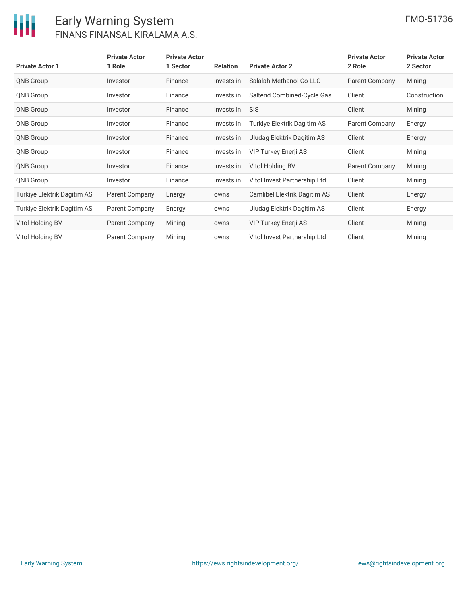

### Early Warning System FINANS FINANSAL KIRALAMA A.S.

| <b>Private Actor 1</b>      | <b>Private Actor</b><br>1 Role | <b>Private Actor</b><br>1 Sector | <b>Relation</b> | <b>Private Actor 2</b>       | <b>Private Actor</b><br>2 Role | <b>Private Actor</b><br>2 Sector |
|-----------------------------|--------------------------------|----------------------------------|-----------------|------------------------------|--------------------------------|----------------------------------|
| <b>QNB Group</b>            | Investor                       | Finance                          | invests in      | Salalah Methanol Co LLC      | <b>Parent Company</b>          | Mining                           |
| <b>QNB Group</b>            | Investor                       | Finance                          | invests in      | Saltend Combined-Cycle Gas   | Client                         | Construction                     |
| <b>QNB Group</b>            | Investor                       | Finance                          | invests in      | <b>SIS</b>                   | Client                         | Mining                           |
| <b>QNB Group</b>            | Investor                       | Finance                          | invests in      | Turkiye Elektrik Dagitim AS  | Parent Company                 | Energy                           |
| <b>QNB Group</b>            | Investor                       | Finance                          | invests in      | Uludag Elektrik Dagitim AS   | Client                         | Energy                           |
| <b>QNB Group</b>            | Investor                       | Finance                          | invests in      | <b>VIP Turkey Enerji AS</b>  | Client                         | Mining                           |
| <b>QNB Group</b>            | Investor                       | Finance                          | invests in      | Vitol Holding BV             | Parent Company                 | Mining                           |
| <b>QNB Group</b>            | Investor                       | Finance                          | invests in      | Vitol Invest Partnership Ltd | Client                         | Mining                           |
| Turkiye Elektrik Dagitim AS | <b>Parent Company</b>          | Energy                           | owns            | Camlibel Elektrik Dagitim AS | Client                         | Energy                           |
| Turkiye Elektrik Dagitim AS | Parent Company                 | Energy                           | owns            | Uludag Elektrik Dagitim AS   | Client                         | Energy                           |
| Vitol Holding BV            | <b>Parent Company</b>          | Mining                           | owns            | VIP Turkey Enerji AS         | Client                         | Mining                           |
| Vitol Holding BV            | Parent Company                 | Mining                           | owns            | Vitol Invest Partnership Ltd | Client                         | Mining                           |